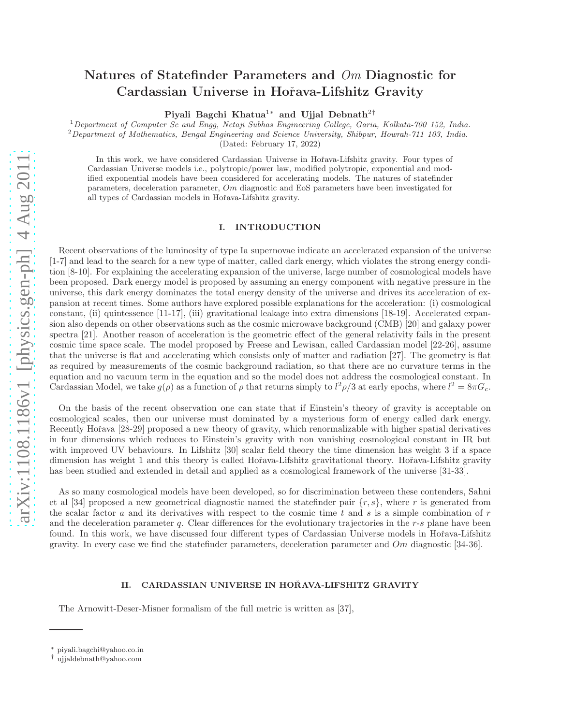# Natures of Statefinder Parameters and Om Diagnostic for Cardassian Universe in Hořava-Lifshitz Gravity

Piyali Bagchi Khatua<sup>1</sup>\* and Ujjal Debnath<sup>2†</sup>

<sup>1</sup>Department of Computer Sc and Engg, Netaji Subhas Engineering College, Garia, Kolkata-700 152, India.

 $2$ Department of Mathematics, Bengal Engineering and Science University, Shibpur, Howrah-711 103, India. (Dated: February 17, 2022)

In this work, we have considered Cardassian Universe in Hořava-Lifshitz gravity. Four types of Cardassian Universe models i.e., polytropic/power law, modified polytropic, exponential and modified exponential models have been considered for accelerating models. The natures of statefinder parameters, deceleration parameter,  $Om$  diagnostic and EoS parameters have been investigated for all types of Cardassian models in Hoˇrava-Lifshitz gravity.

## I. INTRODUCTION

Recent observations of the luminosity of type Ia supernovae indicate an accelerated expansion of the universe [1-7] and lead to the search for a new type of matter, called dark energy, which violates the strong energy condition [8-10]. For explaining the accelerating expansion of the universe, large number of cosmological models have been proposed. Dark energy model is proposed by assuming an energy component with negative pressure in the universe, this dark energy dominates the total energy density of the universe and drives its acceleration of expansion at recent times. Some authors have explored possible explanations for the acceleration: (i) cosmological constant, (ii) quintessence [11-17], (iii) gravitational leakage into extra dimensions [18-19]. Accelerated expansion also depends on other observations such as the cosmic microwave background (CMB) [20] and galaxy power spectra [21]. Another reason of acceleration is the geometric effect of the general relativity fails in the present cosmic time space scale. The model proposed by Freese and Lewisan, called Cardassian model [22-26], assume that the universe is flat and accelerating which consists only of matter and radiation [27]. The geometry is flat as required by measurements of the cosmic background radiation, so that there are no curvature terms in the equation and no vacuum term in the equation and so the model does not address the cosmological constant. In Cardassian Model, we take  $g(\rho)$  as a function of  $\rho$  that returns simply to  $l^2\rho/3$  at early epochs, where  $l^2 = 8\pi G_c$ .

On the basis of the recent observation one can state that if Einstein's theory of gravity is acceptable on cosmological scales, then our universe must dominated by a mysterious form of energy called dark energy. Recently Hořava [28-29] proposed a new theory of gravity, which renormalizable with higher spatial derivatives in four dimensions which reduces to Einstein's gravity with non vanishing cosmological constant in IR but with improved UV behaviours. In Lifshitz [30] scalar field theory the time dimension has weight 3 if a space dimension has weight 1 and this theory is called Hořava-Lifshitz gravitational theory. Hořava-Lifshitz gravity has been studied and extended in detail and applied as a cosmological framework of the universe [31-33].

As so many cosmological models have been developed, so for discrimination between these contenders, Sahni et al [34] proposed a new geometrical diagnostic named the statefinder pair  $\{r, s\}$ , where r is generated from the scalar factor a and its derivatives with respect to the cosmic time t and s is a simple combination of  $r$ and the deceleration parameter  $q$ . Clear differences for the evolutionary trajectories in the  $r$ -s plane have been found. In this work, we have discussed four different types of Cardassian Universe models in Hořava-Lifshitz gravity. In every case we find the statefinder parameters, deceleration parameter and  $Om$  diagnostic [34-36].

## II. CARDASSIAN UNIVERSE IN HOŘAVA-LIFSHITZ GRAVITY

The Arnowitt-Deser-Misner formalism of the full metric is written as [37],

<sup>∗</sup> piyali.bagchi@yahoo.co.in

<sup>†</sup> ujjaldebnath@yahoo.com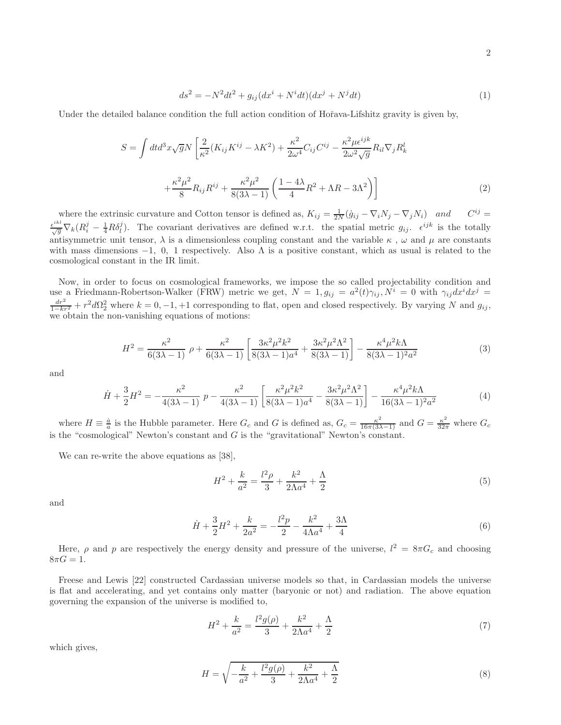$$
ds^{2} = -N^{2}dt^{2} + g_{ij}(dx^{i} + N^{i}dt)(dx^{j} + N^{j}dt)
$$
\n(1)

Under the detailed balance condition the full action condition of Hořava-Lifshitz gravity is given by,

$$
S = \int dt d^3x \sqrt{g} N \left[ \frac{2}{\kappa^2} (K_{ij} K^{ij} - \lambda K^2) + \frac{\kappa^2}{2\omega^4} C_{ij} C^{ij} - \frac{\kappa^2 \mu \epsilon^{ijk}}{2\omega^2 \sqrt{g}} R_{il} \nabla_j R_k^l + \frac{\kappa^2 \mu^2}{8} R_{ij} R^{ij} + \frac{\kappa^2 \mu^2}{8(3\lambda - 1)} \left( \frac{1 - 4\lambda}{4} R^2 + \Lambda R - 3\Lambda^2 \right) \right]
$$
(2)

where the extrinsic curvature and Cotton tensor is defined as,  $K_{ij} = \frac{1}{2N}(\dot{g}_{ij} - \nabla_i N_j - \nabla_j N_i)$  and  $C^{ij} =$  $\frac{\epsilon^{ikl}}{\sqrt{g}}\nabla_k(R_i^j - \frac{1}{4}R\delta_l^j)$ . The covariant derivatives are defined w.r.t. the spatial metric  $g_{ij}$ .  $\epsilon^{ijk}$  is the totally antisymmetric unit tensor,  $\lambda$  is a dimensionless coupling constant and the variable  $\kappa$ ,  $\omega$  and  $\mu$  are constants with mass dimensions  $-1$ , 0, 1 respectively. Also  $\Lambda$  is a positive constant, which as usual is related to the cosmological constant in the IR limit.

Now, in order to focus on cosmological frameworks, we impose the so called projectability condition and use a Friedmann-Robertson-Walker (FRW) metric we get,  $N = 1, g_{ij} = a^2(t)\gamma_{ij}$ ,  $N^i = 0$  with  $\gamma_{ij}dx^idx^j =$  $\frac{dr^2}{1-kr^2} + r^2 d\Omega_2^2$  where  $k = 0, -1, +1$  corresponding to flat, open and closed respectively. By varying N and  $g_{ij}$ , we obtain the non-vanishing equations of motions:

$$
H^{2} = \frac{\kappa^{2}}{6(3\lambda - 1)} \rho + \frac{\kappa^{2}}{6(3\lambda - 1)} \left[ \frac{3\kappa^{2} \mu^{2} k^{2}}{8(3\lambda - 1)a^{4}} + \frac{3\kappa^{2} \mu^{2} \Lambda^{2}}{8(3\lambda - 1)} \right] - \frac{\kappa^{4} \mu^{2} k \Lambda}{8(3\lambda - 1)^{2} a^{2}} \tag{3}
$$

and

$$
\dot{H} + \frac{3}{2}H^2 = -\frac{\kappa^2}{4(3\lambda - 1)} p - \frac{\kappa^2}{4(3\lambda - 1)} \left[ \frac{\kappa^2 \mu^2 k^2}{8(3\lambda - 1)a^4} - \frac{3\kappa^2 \mu^2 \Lambda^2}{8(3\lambda - 1)} \right] - \frac{\kappa^4 \mu^2 k \Lambda}{16(3\lambda - 1)^2 a^2}
$$
(4)

where  $H \equiv \frac{\dot{a}}{a}$  is the Hubble parameter. Here  $G_c$  and G is defined as,  $G_c = \frac{\kappa^2}{16\pi(3\lambda-1)}$  and  $G = \frac{\kappa^2}{32\pi}$  where  $G_c$ is the "cosmological" Newton's constant and  $G$  is the "gravitational" Newton's constant.

We can re-write the above equations as [38],

$$
H^{2} + \frac{k}{a^{2}} = \frac{l^{2}\rho}{3} + \frac{k^{2}}{2\Lambda a^{4}} + \frac{\Lambda}{2}
$$
\n(5)

and

$$
\dot{H} + \frac{3}{2}H^2 + \frac{k}{2a^2} = -\frac{l^2p}{2} - \frac{k^2}{4\Lambda a^4} + \frac{3\Lambda}{4}
$$
\n(6)

Here,  $\rho$  and p are respectively the energy density and pressure of the universe,  $l^2 = 8\pi G_c$  and choosing  $8\pi G = 1.$ 

Freese and Lewis [22] constructed Cardassian universe models so that, in Cardassian models the universe is flat and accelerating, and yet contains only matter (baryonic or not) and radiation. The above equation governing the expansion of the universe is modified to,

$$
H^{2} + \frac{k}{a^{2}} = \frac{l^{2}g(\rho)}{3} + \frac{k^{2}}{2\Lambda a^{4}} + \frac{\Lambda}{2}
$$
\n(7)

which gives,

$$
H = \sqrt{-\frac{k}{a^2} + \frac{l^2 g(\rho)}{3} + \frac{k^2}{2\Lambda a^4} + \frac{\Lambda}{2}}
$$
\n(8)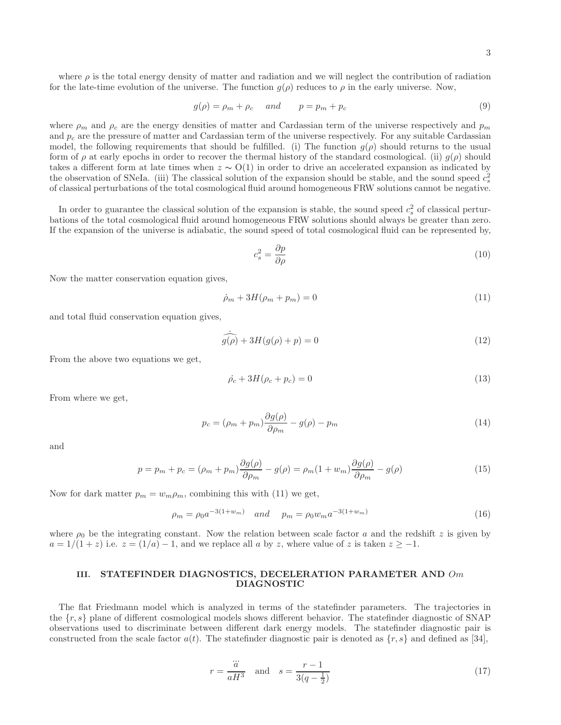3

where  $\rho$  is the total energy density of matter and radiation and we will neglect the contribution of radiation for the late-time evolution of the universe. The function  $q(\rho)$  reduces to  $\rho$  in the early universe. Now,

$$
g(\rho) = \rho_m + \rho_c \quad and \quad p = p_m + p_c \tag{9}
$$

where  $\rho_m$  and  $\rho_c$  are the energy densities of matter and Cardassian term of the universe respectively and  $p_m$ and  $p_c$  are the pressure of matter and Cardassian term of the universe respectively. For any suitable Cardassian model, the following requirements that should be fulfilled. (i) The function  $g(\rho)$  should returns to the usual form of  $\rho$  at early epochs in order to recover the thermal history of the standard cosmological. (ii)  $q(\rho)$  should takes a different form at late times when  $z \sim O(1)$  in order to drive an accelerated expansion as indicated by the observation of SNeIa. (iii) The classical solution of the expansion should be stable, and the sound speed  $c_s^2$ of classical perturbations of the total cosmological fluid around homogeneous FRW solutions cannot be negative.

In order to guarantee the classical solution of the expansion is stable, the sound speed  $c_s^2$  of classical perturbations of the total cosmological fluid around homogeneous FRW solutions should always be greater than zero. If the expansion of the universe is adiabatic, the sound speed of total cosmological fluid can be represented by,

$$
c_s^2 = \frac{\partial p}{\partial \rho} \tag{10}
$$

Now the matter conservation equation gives,

$$
\dot{\rho}_m + 3H(\rho_m + p_m) = 0\tag{11}
$$

and total fluid conservation equation gives,

$$
\widehat{g(\rho)} + 3H(g(\rho) + p) = 0 \tag{12}
$$

From the above two equations we get,

$$
\dot{\rho}_c + 3H(\rho_c + p_c) = 0\tag{13}
$$

From where we get,

$$
p_c = (\rho_m + p_m) \frac{\partial g(\rho)}{\partial \rho_m} - g(\rho) - p_m \tag{14}
$$

and

$$
p = p_m + p_c = (\rho_m + p_m) \frac{\partial g(\rho)}{\partial \rho_m} - g(\rho) = \rho_m (1 + w_m) \frac{\partial g(\rho)}{\partial \rho_m} - g(\rho)
$$
(15)

Now for dark matter  $p_m = w_m \rho_m$ , combining this with (11) we get,

$$
\rho_m = \rho_0 a^{-3(1+w_m)} \quad and \quad p_m = \rho_0 w_m a^{-3(1+w_m)} \tag{16}
$$

where  $\rho_0$  be the integrating constant. Now the relation between scale factor a and the redshift z is given by  $a = 1/(1+z)$  i.e.  $z = (1/a) - 1$ , and we replace all a by z, where value of z is taken  $z \ge -1$ .

# III. STATEFINDER DIAGNOSTICS, DECELERATION PARAMETER AND Om DIAGNOSTIC

The flat Friedmann model which is analyzed in terms of the statefinder parameters. The trajectories in the  $\{r, s\}$  plane of different cosmological models shows different behavior. The statefinder diagnostic of SNAP observations used to discriminate between different dark energy models. The statefinder diagnostic pair is constructed from the scale factor  $a(t)$ . The statefinder diagnostic pair is denoted as  $\{r, s\}$  and defined as [34],

$$
r = \frac{\dddot{a}}{aH^3} \quad \text{and} \quad s = \frac{r-1}{3(q-\frac{1}{2})} \tag{17}
$$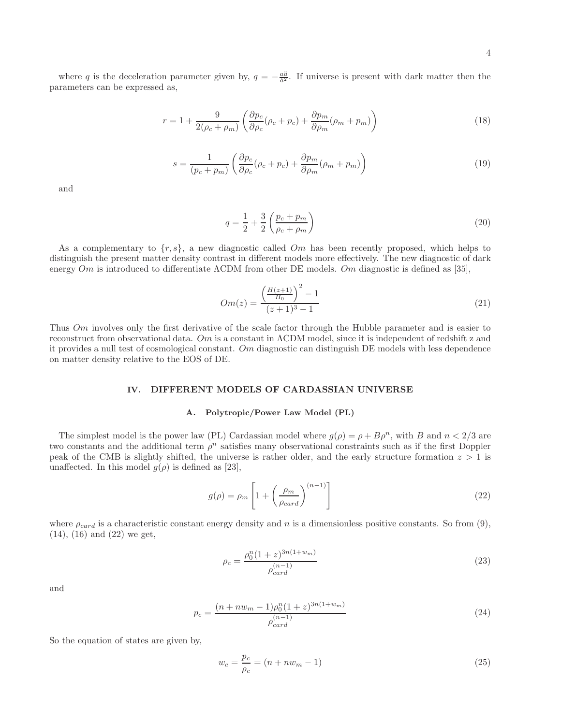$$
r = 1 + \frac{9}{2(\rho_c + \rho_m)} \left( \frac{\partial p_c}{\partial \rho_c} (\rho_c + p_c) + \frac{\partial p_m}{\partial \rho_m} (\rho_m + p_m) \right)
$$
(18)

$$
s = \frac{1}{(p_c + p_m)} \left( \frac{\partial p_c}{\partial \rho_c} (\rho_c + p_c) + \frac{\partial p_m}{\partial \rho_m} (\rho_m + p_m) \right)
$$
(19)

and

$$
q = \frac{1}{2} + \frac{3}{2} \left( \frac{p_c + p_m}{\rho_c + \rho_m} \right)
$$
 (20)

As a complementary to  $\{r, s\}$ , a new diagnostic called Om has been recently proposed, which helps to distinguish the present matter density contrast in different models more effectively. The new diagnostic of dark energy  $Om$  is introduced to differentiate  $\Lambda$ CDM from other DE models. Om diagnostic is defined as [35],

$$
Om(z) = \frac{\left(\frac{H(z+1)}{H_0}\right)^2 - 1}{(z+1)^3 - 1} \tag{21}
$$

Thus Om involves only the first derivative of the scale factor through the Hubble parameter and is easier to reconstruct from observational data. Om is a constant in ΛCDM model, since it is independent of redshift z and it provides a null test of cosmological constant. Om diagnostic can distinguish DE models with less dependence on matter density relative to the EOS of DE.

# IV. DIFFERENT MODELS OF CARDASSIAN UNIVERSE

## A. Polytropic/Power Law Model (PL)

The simplest model is the power law (PL) Cardassian model where  $g(\rho) = \rho + B\rho^n$ , with B and  $n < 2/3$  are two constants and the additional term  $\rho^n$  satisfies many observational constraints such as if the first Doppler peak of the CMB is slightly shifted, the universe is rather older, and the early structure formation  $z > 1$  is unaffected. In this model  $g(\rho)$  is defined as [23],

$$
g(\rho) = \rho_m \left[ 1 + \left( \frac{\rho_m}{\rho_{card}} \right)^{(n-1)} \right] \tag{22}
$$

where  $\rho_{card}$  is a characteristic constant energy density and n is a dimensionless positive constants. So from (9), (14), (16) and (22) we get,

$$
\rho_c = \frac{\rho_0^n (1+z)^{3n(1+w_m)}}{\rho_{card}^{(n-1)}}\tag{23}
$$

and

$$
p_c = \frac{(n + nw_m - 1)\rho_0^n (1 + z)^{3n(1 + w_m)}}{\rho_{card}^{(n-1)}}
$$
\n(24)

So the equation of states are given by,

$$
w_c = \frac{p_c}{\rho_c} = (n + nw_m - 1)
$$
\n(25)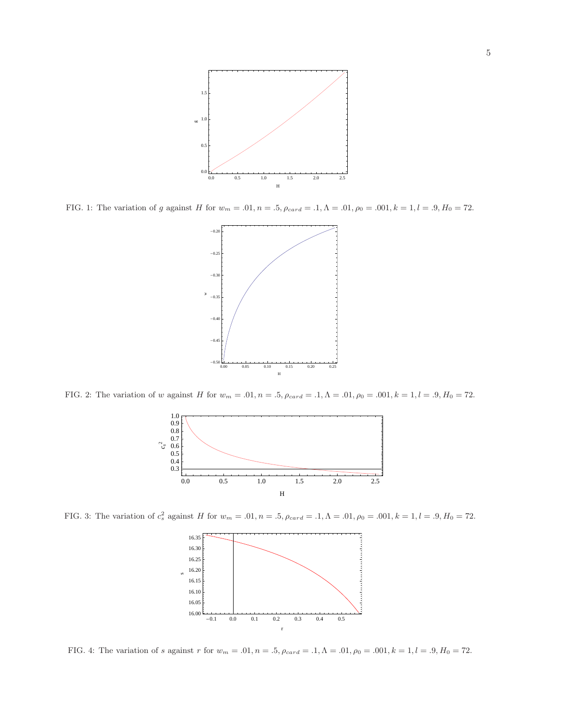

FIG. 1: The variation of g against H for  $w_m = .01$ ,  $n = .5$ ,  $\rho_{card} = .1$ ,  $\Lambda = .01$ ,  $\rho_0 = .001$ ,  $k = 1$ ,  $l = .9$ ,  $H_0 = 72$ .



FIG. 2: The variation of w against H for  $w_m = .01$ ,  $n = .5$ ,  $\rho_{card} = .1$ ,  $\Lambda = .01$ ,  $\rho_0 = .001$ ,  $k = 1$ ,  $l = .9$ ,  $H_0 = 72$ .



FIG. 3: The variation of  $c_s^2$  against H for  $w_m = .01$ ,  $n = .5$ ,  $\rho_{card} = .1$ ,  $\Lambda = .01$ ,  $\rho_0 = .001$ ,  $k = 1$ ,  $l = .9$ ,  $H_0 = 72$ .



FIG. 4: The variation of s against r for  $w_m = .01$ ,  $n = .5$ ,  $\rho_{card} = .1$ ,  $\Lambda = .01$ ,  $\rho_0 = .001$ ,  $k = 1$ ,  $l = .9$ ,  $H_0 = 72$ .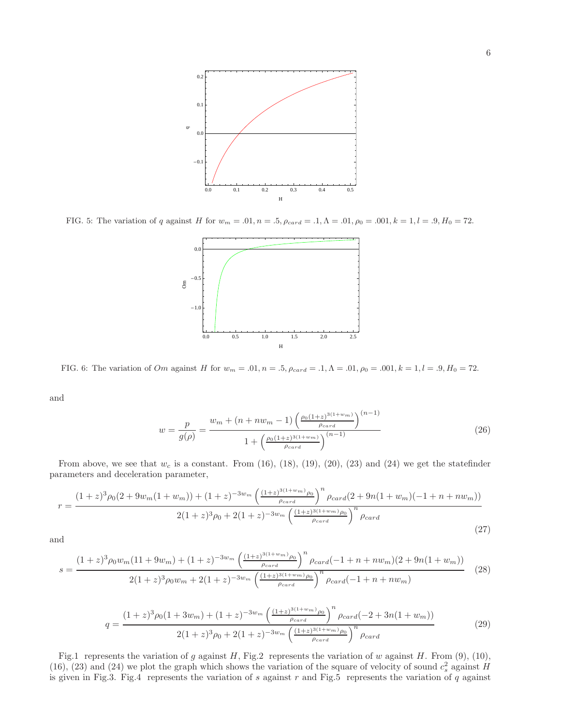

FIG. 5: The variation of q against H for  $w_m = .01$ ,  $n = .5$ ,  $\rho_{card} = .1$ ,  $\Lambda = .01$ ,  $\rho_0 = .001$ ,  $k = 1$ ,  $l = .9$ ,  $H_0 = 72$ .



FIG. 6: The variation of Om against H for  $w_m = .01$ ,  $n = .5$ ,  $\rho_{card} = .1$ ,  $\Lambda = .01$ ,  $\rho_0 = .001$ ,  $k = 1$ ,  $l = .9$ ,  $H_0 = 72$ .

and

$$
w = \frac{p}{g(\rho)} = \frac{w_m + (n + nw_m - 1) \left(\frac{\rho_0 (1+z)^{3(1+w_m)}}{\rho_{card}}\right)^{(n-1)}}{1 + \left(\frac{\rho_0 (1+z)^{3(1+w_m)}}{\rho_{card}}\right)^{(n-1)}}
$$
(26)

From above, we see that  $w_c$  is a constant. From (16), (18), (19), (20), (23) and (24) we get the statefinder parameters and deceleration parameter,

$$
r = \frac{(1+z)^{3}\rho_{0}(2+9w_{m}(1+w_{m}))+ (1+z)^{-3w_{m}}\left(\frac{(1+z)^{3(1+w_{m})}\rho_{0}}{\rho_{card}}\right)^{n}\rho_{card}(2+9n(1+w_{m})(-1+n+nw_{m}))}{2(1+z)^{3}\rho_{0}+2(1+z)^{-3w_{m}}\left(\frac{(1+z)^{3(1+w_{m})}\rho_{0}}{\rho_{card}}\right)^{n}\rho_{card}}
$$
(27)

and

$$
s = \frac{(1+z)^3 \rho_0 w_m (11+9w_m) + (1+z)^{-3w_m} \left(\frac{(1+z)^{3(1+w_m)} \rho_0}{\rho_{card}}\right)^n \rho_{card}(-1+n+nw_m)(2+9n(1+w_m))}{2(1+z)^3 \rho_0 w_m + 2(1+z)^{-3w_m} \left(\frac{(1+z)^{3(1+w_m)} \rho_0}{\rho_{card}}\right)^n \rho_{card}(-1+n+nw_m)}
$$
(28)

$$
q = \frac{(1+z)^{3}\rho_{0}(1+3w_{m}) + (1+z)^{-3w_{m}}\left(\frac{(1+z)^{3(1+w_{m})}\rho_{0}}{\rho_{card}}\right)^{n}\rho_{card}(-2+3n(1+w_{m}))}{2(1+z)^{3}\rho_{0} + 2(1+z)^{-3w_{m}}\left(\frac{(1+z)^{3(1+w_{m})}\rho_{0}}{\rho_{card}}\right)^{n}\rho_{card}}
$$
(29)

Fig.1 represents the variation of g against H, Fig.2 represents the variation of w against H. From (9), (10), (16), (23) and (24) we plot the graph which shows the variation of the square of velocity of sound  $c_s^2$  against H is given in Fig.3. Fig.4 represents the variation of  $s$  against  $r$  and Fig.5 represents the variation of  $q$  against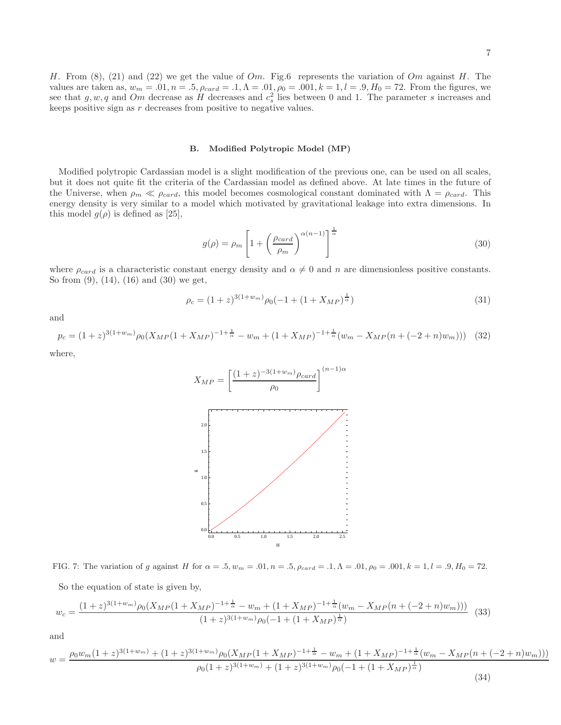H. From  $(8)$ ,  $(21)$  and  $(22)$  we get the value of  $Om$ . Fig.6 represents the variation of  $Om$  against H. The values are taken as,  $w_m = .01$ ,  $n = .5$ ,  $\rho_{card} = .1$ ,  $\Lambda = .01$ ,  $\rho_0 = .001$ ,  $k = 1$ ,  $l = .9$ ,  $H_0 = 72$ . From the figures, we see that  $g, w, q$  and  $Om$  decrease as H decreases and  $c_s^2$  lies between 0 and 1. The parameter s increases and keeps positive sign as  $r$  decreases from positive to negative values.

#### B. Modified Polytropic Model (MP)

Modified polytropic Cardassian model is a slight modification of the previous one, can be used on all scales, but it does not quite fit the criteria of the Cardassian model as defined above. At late times in the future of the Universe, when  $\rho_m \ll \rho_{card}$ , this model becomes cosmological constant dominated with  $\Lambda = \rho_{card}$ . This energy density is very similar to a model which motivated by gravitational leakage into extra dimensions. In this model  $g(\rho)$  is defined as [25],

$$
g(\rho) = \rho_m \left[ 1 + \left( \frac{\rho_{card}}{\rho_m} \right)^{\alpha(n-1)} \right]^{\frac{1}{\alpha}} \tag{30}
$$

where  $\rho_{card}$  is a characteristic constant energy density and  $\alpha \neq 0$  and n are dimensionless positive constants. So from (9), (14), (16) and (30) we get,

$$
\rho_c = (1+z)^{3(1+w_m)} \rho_0 (-1 + (1+X_{MP})^{\frac{1}{\alpha}})
$$
\n(31)

and

$$
p_c = (1+z)^{3(1+w_m)} \rho_0 (X_{MP}(1+X_{MP})^{-1+\frac{1}{\alpha}} - w_m + (1+X_{MP})^{-1+\frac{1}{\alpha}} (w_m - X_{MP}(n+(-2+n)w_m))) \tag{32}
$$

where,



FIG. 7: The variation of g against H for  $\alpha = .5$ ,  $w_m = .01$ ,  $n = .5$ ,  $\rho_{card} = .1$ ,  $\Lambda = .01$ ,  $\rho_0 = .001$ ,  $k = 1$ ,  $l = .9$ ,  $H_0 = 72$ .

So the equation of state is given by,

$$
w_c = \frac{(1+z)^{3(1+w_m)}\rho_0(X_{MP}(1+X_{MP})^{-1+\frac{1}{\alpha}} - w_m + (1+X_{MP})^{-1+\frac{1}{\alpha}}(w_m - X_{MP}(n+(-2+n)w_m)))}{(1+z)^{3(1+w_m)}\rho_0(-1+(1+X_{MP})^{\frac{1}{\alpha}})}
$$
(33)

and

$$
w = \frac{\rho_0 w_m (1+z)^{3(1+w_m)} + (1+z)^{3(1+w_m)} \rho_0 (X_M (1+X_M)^{-1+\frac{1}{\alpha}} - w_m + (1+X_M)^{-1+\frac{1}{\alpha}} (w_m - X_M)^{(n+(-2+n)w_m)}))}{\rho_0 (1+z)^{3(1+w_m)} + (1+z)^{3(1+w_m)} \rho_0 (-1+ (1+X_M)^{\frac{1}{\alpha}})}
$$
(34)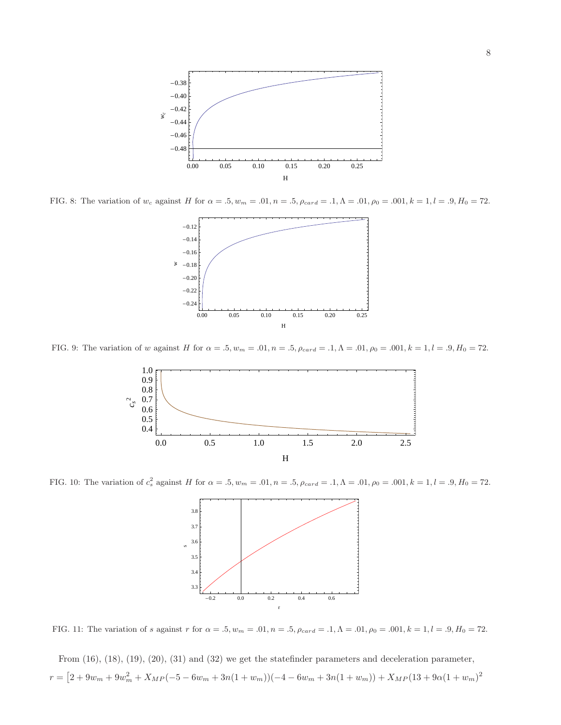

FIG. 8: The variation of w<sub>c</sub> against H for  $\alpha = .5, w_m = .01, n = .5, \rho_{card} = .1, \Lambda = .01, \rho_0 = .001, k = 1, l = .9, H_0 = 72.$ 



FIG. 9: The variation of w against H for  $\alpha = .5, w_m = .01, n = .5, \rho_{card} = .1, \Lambda = .01, \rho_0 = .001, k = 1, l = .9, H_0 = 72.$ 



FIG. 10: The variation of  $c_s^2$  against H for  $\alpha = .5$ ,  $w_m = .01$ ,  $n = .5$ ,  $\rho_{card} = .1$ ,  $\Lambda = .01$ ,  $\rho_0 = .001$ ,  $k = 1$ ,  $l = .9$ ,  $H_0 = 72$ .



FIG. 11: The variation of s against r for  $\alpha = .5$ ,  $w_m = .01$ ,  $n = .5$ ,  $\rho_{card} = .1$ ,  $\Lambda = .01$ ,  $\rho_0 = .001$ ,  $k = 1$ ,  $l = .9$ ,  $H_0 = 72$ .

From (16), (18), (19), (20), (31) and (32) we get the statefinder parameters and deceleration parameter,  $r = [2 + 9w_m + 9w_m^2 + X_{MP}(-5 - 6w_m + 3n(1 + w_m))(-4 - 6w_m + 3n(1 + w_m)) + X_{MP}(13 + 9\alpha(1 + w_m)^2$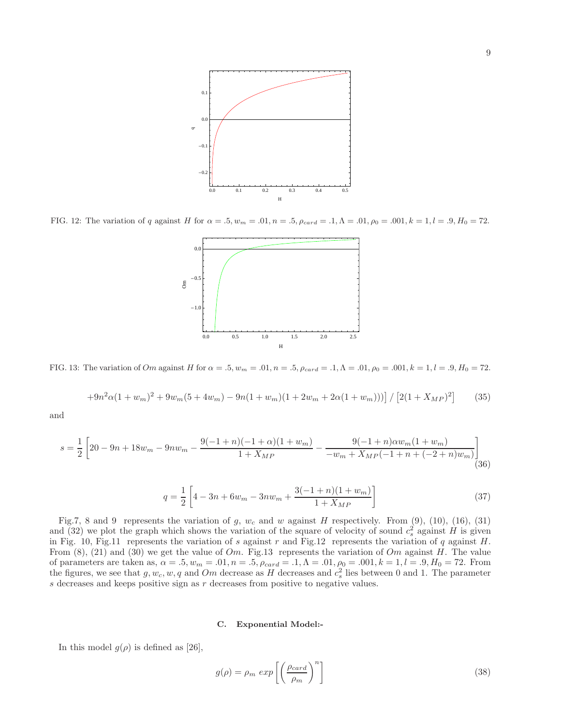

FIG. 12: The variation of q against H for  $\alpha = .5$ ,  $w_m = .01$ ,  $n = .5$ ,  $\rho_{card} = .1$ ,  $\Lambda = .01$ ,  $\rho_0 = .001$ ,  $k = 1$ ,  $l = .9$ ,  $H_0 = 72$ .



FIG. 13: The variation of Om against H for  $\alpha = .5$ ,  $w_m = .01$ ,  $n = .5$ ,  $\rho_{card} = .1$ ,  $\Lambda = .01$ ,  $\rho_0 = .001$ ,  $k = 1$ ,  $l = .9$ ,  $H_0 = 72$ .

$$
+9n^{2}\alpha(1+w_{m})^{2}+9w_{m}(5+4w_{m})-9n(1+w_{m})(1+2w_{m}+2\alpha(1+w_{m})))]/[2(1+X_{MP})^{2}]
$$
 (35)

and

$$
s = \frac{1}{2} \left[ 20 - 9n + 18w_m - 9nw_m - \frac{9(-1+n)(-1+\alpha)(1+w_m)}{1+X_{MP}} - \frac{9(-1+n)\alpha w_m(1+w_m)}{-w_m + X_{MP}(-1+n+(-2+n)w_m)} \right]
$$
(36)

$$
q = \frac{1}{2} \left[ 4 - 3n + 6w_m - 3nw_m + \frac{3(-1+n)(1+w_m)}{1+X_{MP}} \right]
$$
\n(37)

Fig.7, 8 and 9 represents the variation of g,  $w_c$  and w against H respectively. From (9), (10), (16), (31) and (32) we plot the graph which shows the variation of the square of velocity of sound  $c_s^2$  against H is given in Fig. 10, Fig.11 represents the variation of s against r and Fig.12 represents the variation of q against  $H$ . From (8), (21) and (30) we get the value of  $Om$ . Fig.13 represents the variation of  $Om$  against H. The value of parameters are taken as,  $\alpha = .5, w_m = .01, n = .5, \rho_{card} = .1, \Lambda = .01, \rho_0 = .001, k = 1, l = .9, H_0 = 72$ . From the figures, we see that  $g, w_c, w, q$  and  $Om$  decrease as H decreases and  $c_s^2$  lies between 0 and 1. The parameter  $s$  decreases and keeps positive sign as  $r$  decreases from positive to negative values.

## C. Exponential Model:-

In this model  $g(\rho)$  is defined as [26],

$$
g(\rho) = \rho_m \exp\left[\left(\frac{\rho_{card}}{\rho_m}\right)^n\right]
$$
\n(38)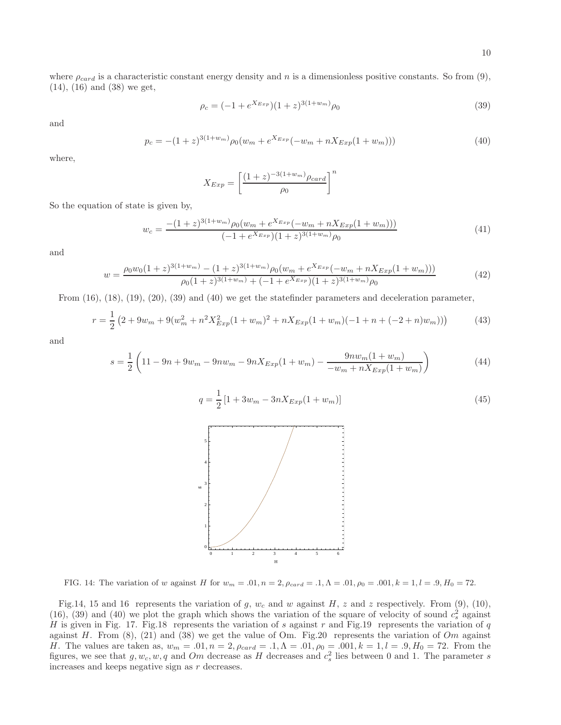where  $\rho_{card}$  is a characteristic constant energy density and n is a dimensionless positive constants. So from (9), (14), (16) and (38) we get,

$$
\rho_c = (-1 + e^{X_{Exp}})(1+z)^{3(1+w_m)}\rho_0
$$
\n(39)

and

$$
p_c = -(1+z)^{3(1+w_m)}\rho_0(w_m + e^{X_{Exp}}(-w_m + nX_{Exp}(1+w_m)))
$$
\n(40)

where,

$$
X_{Exp} = \left[\frac{(1+z)^{-3(1+w_m)}\rho_{card}}{\rho_0}\right]^n
$$

So the equation of state is given by,

$$
w_c = \frac{-(1+z)^{3(1+w_m)}\rho_0(w_m + e^{X_{Exp}}(-w_m + nX_{Exp}(1+w_m)))}{(-1 + e^{X_{Exp}})(1+z)^{3(1+w_m)}\rho_0}
$$
(41)

and

$$
w = \frac{\rho_0 w_0 (1+z)^{3(1+w_m)} - (1+z)^{3(1+w_m)} \rho_0 (w_m + e^{X_{Exp}}(-w_m + nX_{Exp}(1+w_m)))}{\rho_0 (1+z)^{3(1+w_m)} + (-1+e^{X_{Exp}})(1+z)^{3(1+w_m)} \rho_0}
$$
(42)

From (16), (18), (19), (20), (39) and (40) we get the statefinder parameters and deceleration parameter,

$$
r = \frac{1}{2} \left( 2 + 9w_m + 9(w_m^2 + n^2 X_{Exp}^2 (1 + w_m)^2 + n X_{Exp}(1 + w_m)(-1 + n + (-2 + n)w_m)) \right)
$$
(43)

and

$$
s = \frac{1}{2} \left( 11 - 9n + 9w_m - 9nw_m - 9nX_{Exp}(1 + w_m) - \frac{9nw_m(1 + w_m)}{-w_m + nX_{Exp}(1 + w_m)} \right)
$$
(44)

$$
q = \frac{1}{2} \left[ 1 + 3w_m - 3n X_{Exp}(1 + w_m) \right]
$$
\n(45)



FIG. 14: The variation of w against H for  $w_m = .01$ ,  $n = 2$ ,  $\rho_{card} = .1$ ,  $\Lambda = .01$ ,  $\rho_0 = .001$ ,  $k = 1$ ,  $l = .9$ ,  $H_0 = 72$ .

Fig.14, 15 and 16 represents the variation of g,  $w_c$  and w against H, z and z respectively. From (9), (10), (16), (39) and (40) we plot the graph which shows the variation of the square of velocity of sound  $c_s^2$  against H is given in Fig. 17. Fig.18 represents the variation of s against r and Fig.19 represents the variation of q against H. From  $(8)$ ,  $(21)$  and  $(38)$  we get the value of Om. Fig. 20 represents the variation of Om against H. The values are taken as,  $w_m = .01, n = 2, \rho_{card} = .1, \Lambda = .01, \rho_0 = .001, k = 1, l = .9, H_0 = 72$ . From the figures, we see that  $g, w_c, w, q$  and Om decrease as H decreases and  $c_s^2$  lies between 0 and 1. The parameter s increases and keeps negative sign as r decreases.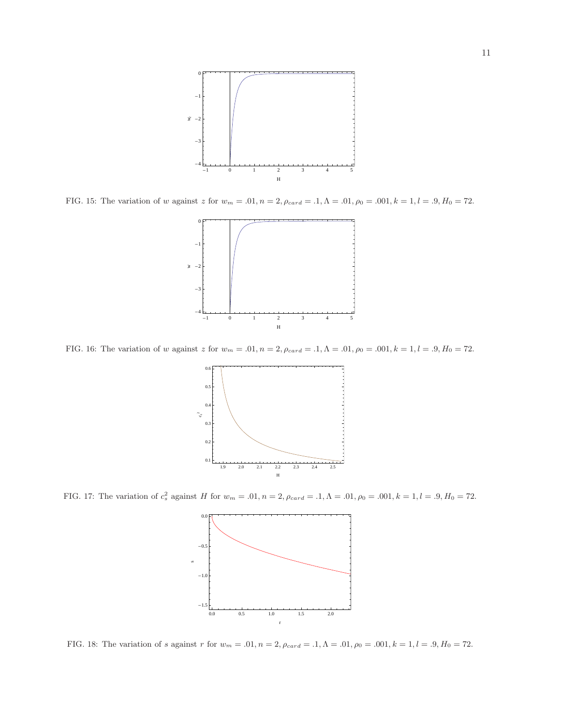

FIG. 15: The variation of w against z for  $w_m = .01$ ,  $n = 2$ ,  $\rho_{card} = .1$ ,  $\Lambda = .01$ ,  $\rho_0 = .001$ ,  $k = 1$ ,  $l = .9$ ,  $H_0 = 72$ .



FIG. 16: The variation of w against z for  $w_m = .01$ ,  $n = 2$ ,  $\rho_{card} = .1$ ,  $\Lambda = .01$ ,  $\rho_0 = .001$ ,  $k = 1$ ,  $l = .9$ ,  $H_0 = 72$ .



FIG. 17: The variation of  $c_s^2$  against H for  $w_m = .01$ ,  $n = 2$ ,  $\rho_{card} = .1$ ,  $\Lambda = .01$ ,  $\rho_0 = .001$ ,  $k = 1$ ,  $l = .9$ ,  $H_0 = 72$ .



FIG. 18: The variation of s against r for  $w_m = .01$ ,  $n = 2$ ,  $\rho_{card} = .1$ ,  $\Lambda = .01$ ,  $\rho_0 = .001$ ,  $k = 1$ ,  $l = .9$ ,  $H_0 = 72$ .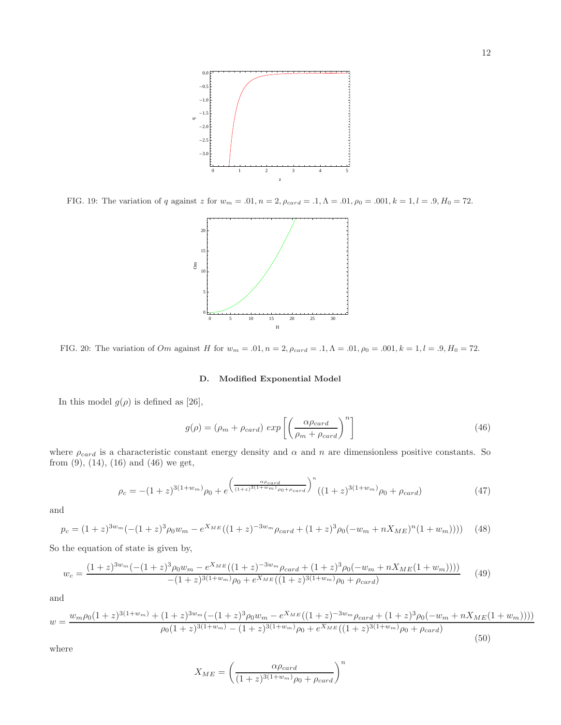

FIG. 19: The variation of q against z for  $w_m = .01$ ,  $n = 2$ ,  $\rho_{card} = .1$ ,  $\Lambda = .01$ ,  $\rho_0 = .001$ ,  $k = 1$ ,  $l = .9$ ,  $H_0 = 72$ .



FIG. 20: The variation of  $Om$  against H for  $w_m = .01$ ,  $n = 2$ ,  $\rho_{card} = .1$ ,  $\Lambda = .01$ ,  $\rho_0 = .001$ ,  $k = 1$ ,  $l = .9$ ,  $H_0 = 72$ .

## D. Modified Exponential Model

In this model  $g(\rho)$  is defined as [26],

$$
g(\rho) = (\rho_m + \rho_{card}) \exp\left[\left(\frac{\alpha \rho_{card}}{\rho_m + \rho_{card}}\right)^n\right]
$$
\n(46)

where  $\rho_{card}$  is a characteristic constant energy density and  $\alpha$  and  $n$  are dimensionless positive constants. So from (9), (14), (16) and (46) we get,

$$
\rho_c = -(1+z)^{3(1+w_m)}\rho_0 + e^{\left(\frac{\alpha \rho_{card}}{(1+z)^{3(1+w_m)}\rho_0 + \rho_{card}}\right)^n}((1+z)^{3(1+w_m)}\rho_0 + \rho_{card})
$$
(47)

and

$$
p_c = (1+z)^{3w_m} (-(1+z)^3 \rho_0 w_m - e^{X_{ME}}((1+z)^{-3w_m} \rho_{card} + (1+z)^3 \rho_0 (-w_m + nX_{ME})^n (1+w_m)))) \tag{48}
$$

So the equation of state is given by,

$$
w_c = \frac{(1+z)^{3w_m}(-(1+z)^3\rho_0 w_m - e^{X_{ME}}((1+z)^{-3w_m}\rho_{card} + (1+z)^3\rho_0(-w_m + nX_{ME}(1+w_m))))}{-(1+z)^{3(1+w_m)}\rho_0 + e^{X_{ME}}((1+z)^{3(1+w_m)}\rho_0 + \rho_{card})}
$$
(49)

and

$$
w = \frac{w_m \rho_0 (1+z)^{3(1+w_m)} + (1+z)^{3w_m} (-(1+z)^3 \rho_0 w_m - e^{X_{ME}} ((1+z)^{-3w_m} \rho_{card} + (1+z)^3 \rho_0 (-w_m + nX_{ME}(1+w_m))))}{\rho_0 (1+z)^{3(1+w_m)} - (1+z)^{3(1+w_m)} \rho_0 + e^{X_{ME}} ((1+z)^{3(1+w_m)} \rho_0 + \rho_{card})}
$$
(50)

where

$$
X_{ME} = \left(\frac{\alpha \rho_{card}}{(1+z)^{3(1+w_m)}\rho_0 + \rho_{card}}\right)^n
$$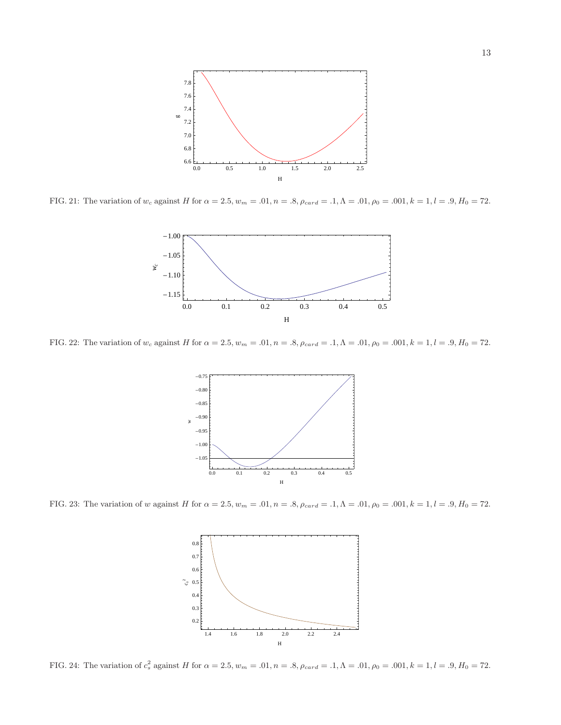

FIG. 21: The variation of w<sub>c</sub> against H for  $\alpha = 2.5$ ,  $w_m = .01$ ,  $n = .8$ ,  $\rho_{card} = .1$ ,  $\Lambda = .01$ ,  $\rho_0 = .001$ ,  $k = 1$ ,  $l = .9$ ,  $H_0 = 72$ .



FIG. 22: The variation of w<sub>c</sub> against H for  $\alpha = 2.5$ ,  $w_m = .01$ ,  $n = .8$ ,  $\rho_{card} = .1$ ,  $\Lambda = .01$ ,  $\rho_0 = .001$ ,  $k = 1$ ,  $l = .9$ ,  $H_0 = 72$ .



FIG. 23: The variation of w against H for  $\alpha = 2.5$ ,  $w_m = .01$ ,  $n = .8$ ,  $\rho_{card} = .1$ ,  $\Lambda = .01$ ,  $\rho_0 = .001$ ,  $k = 1$ ,  $l = .9$ ,  $H_0 = 72$ .



FIG. 24: The variation of  $c_s^2$  against H for  $\alpha = 2.5$ ,  $w_m = .01$ ,  $n = .8$ ,  $\rho_{card} = .1$ ,  $\Lambda = .01$ ,  $\rho_0 = .001$ ,  $k = 1$ ,  $l = .9$ ,  $H_0 = 72$ .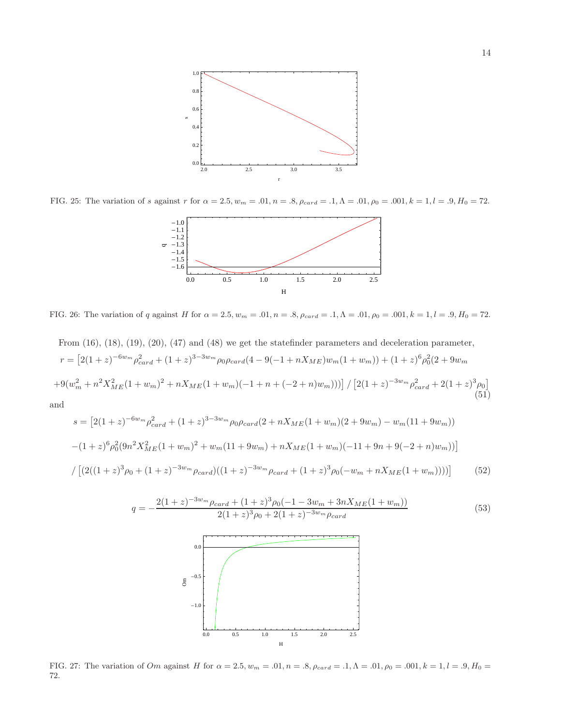

FIG. 25: The variation of s against r for  $\alpha = 2.5$ ,  $w_m = .01$ ,  $n = .8$ ,  $\rho_{card} = .1$ ,  $\Lambda = .01$ ,  $\rho_0 = .001$ ,  $k = 1$ ,  $l = .9$ ,  $H_0 = 72$ .



FIG. 26: The variation of q against H for  $\alpha = 2.5$ ,  $w_m = .01$ ,  $n = .8$ ,  $\rho_{card} = .1$ ,  $\Lambda = .01$ ,  $\rho_0 = .001$ ,  $k = 1$ ,  $l = .9$ ,  $H_0 = 72$ .

From (16), (18), (19), (20), (47) and (48) we get the statefinder parameters and deceleration parameter,  
\n
$$
r = [2(1+z)^{-6w_m} \rho_{card}^2 + (1+z)^{3-3w_m} \rho_0 \rho_{card}(4-9(-1+nX_{ME})w_m(1+w_m)) + (1+z)^6 \rho_0^2 (2+9w_m + 9(w_m^2 + n^2X_{ME}^2(1+w_m)^2 + nX_{ME}(1+w_m)(-1+n+(-2+n)w_m)))]/[2(1+z)^{-3w_m} \rho_{card}^2 + 2(1+z)^3 \rho_0]
$$
\nand  
\n
$$
e^{-[2(1+z)^{-6w_m} \rho_{mod}^2 - 1 - (1+z)^{3-3w_m} \rho_{mod}^2 - (2+x)^{N-1} \rho_{mod}^2 - (1+w_m)(2+9w_m - 2w_m - (1+w_m)^2)]}
$$
\n(51)

 $\tilde{c}$ 

$$
s = [2(1+z)^{-6w_m} \rho_{card}^2 + (1+z)^{3-3w_m} \rho_0 \rho_{card}(2 + nX_{ME}(1+w_m)(2+9w_m) - w_m(11+9w_m))
$$
  
-(1+z)<sup>6</sup>  $\rho_0^2 (9n^2 X_{ME}^2 (1+w_m)^2 + w_m(11+9w_m) + nX_{ME}(1+w_m)(-11+9n+9(-2+n)w_m))$   
/ [(2((1+z)<sup>3</sup>  $\rho_0 + (1+z)^{-3w_m} \rho_{card})((1+z)^{-3w_m} \rho_{card} + (1+z)^{3} \rho_0(-w_m + nX_{ME}(1+w_m))))]$  (52)



FIG. 27: The variation of  $Om$  against H for  $\alpha = 2.5$ ,  $w_m = .01$ ,  $n = .8$ ,  $\rho_{card} = .1$ ,  $\Lambda = .01$ ,  $\rho_0 = .001$ ,  $k = 1$ ,  $l = .9$ ,  $H_0 =$ 72.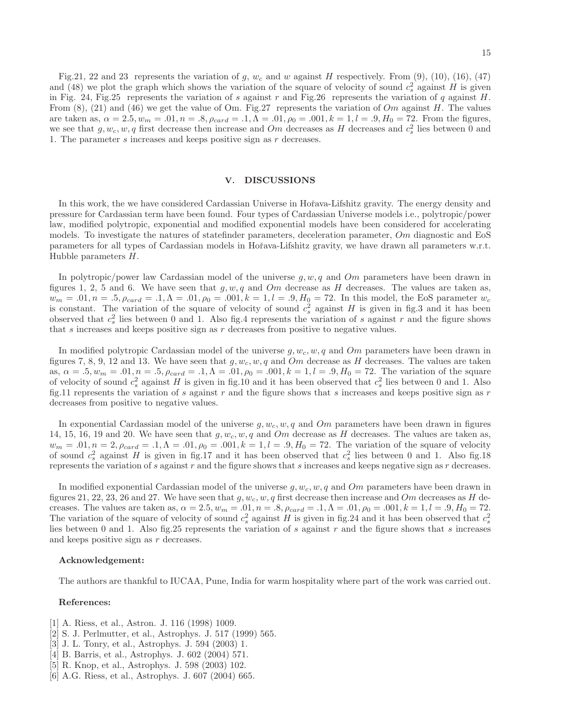#### V. DISCUSSIONS

we see that  $g, w_c, w, q$  first decrease then increase and  $Om$  decreases as H decreases and  $c_s^2$  lies between 0 and

1. The parameter s increases and keeps positive sign as r decreases.

In this work, the we have considered Cardassian Universe in Hořava-Lifshitz gravity. The energy density and pressure for Cardassian term have been found. Four types of Cardassian Universe models i.e., polytropic/power law, modified polytropic, exponential and modified exponential models have been considered for accelerating models. To investigate the natures of statefinder parameters, deceleration parameter, Om diagnostic and EoS parameters for all types of Cardassian models in Hořava-Lifshitz gravity, we have drawn all parameters w.r.t. Hubble parameters H.

In polytropic/power law Cardassian model of the universe  $g, w, q$  and Om parameters have been drawn in figures 1, 2, 5 and 6. We have seen that  $g, w, q$  and Om decrease as H decreases. The values are taken as,  $w_m = .01, n = .5, \rho_{card} = .1, \Lambda = .01, \rho_0 = .001, k = 1, l = .9, H_0 = 72$ . In this model, the EoS parameter  $w_c$ is constant. The variation of the square of velocity of sound  $c_s^2$  against H is given in fig.3 and it has been observed that  $c_s^2$  lies between 0 and 1. Also fig.4 represents the variation of s against r and the figure shows that  $s$  increases and keeps positive sign as  $r$  decreases from positive to negative values.

In modified polytropic Cardassian model of the universe  $g, w_c, w, q$  and Om parameters have been drawn in figures 7, 8, 9, 12 and 13. We have seen that  $g, w_c, w, q$  and Om decrease as H decreases. The values are taken as,  $\alpha = .5, w_m = .01, n = .5, \rho_{card} = .1, \Lambda = .01, \rho_0 = .001, k = 1, l = .9, H_0 = 72$ . The variation of the square of velocity of sound  $c_s^2$  against H is given in fig.10 and it has been observed that  $c_s^2$  lies between 0 and 1. Also fig.11 represents the variation of  $s$  against  $r$  and the figure shows that  $s$  increases and keeps positive sign as  $r$ decreases from positive to negative values.

In exponential Cardassian model of the universe  $g, w_c, w, q$  and Om parameters have been drawn in figures 14, 15, 16, 19 and 20. We have seen that  $g, w_c, w, q$  and  $Om$  decrease as H decreases. The values are taken as,  $w_m = .01, n = 2, \rho_{card} = .1, \Lambda = .01, \rho_0 = .001, k = 1, l = .9, H_0 = 72$ . The variation of the square of velocity of sound  $c_s^2$  against H is given in fig.17 and it has been observed that  $c_s^2$  lies between 0 and 1. Also fig.18 represents the variation of s against r and the figure shows that s increases and keeps negative sign as r decreases.

In modified exponential Cardassian model of the universe  $q, w_c, w, q$  and Om parameters have been drawn in figures 21, 22, 23, 26 and 27. We have seen that  $g, w_c, w, q$  first decrease then increase and Om decreases as H decreases. The values are taken as,  $\alpha = 2.5, w_m = .01, n = .8, \rho_{card} = .1, \Lambda = .01, \rho_0 = .001, k = 1, l = .9, H_0 = 72.$ The variation of the square of velocity of sound  $c_s^2$  against H is given in fig.24 and it has been observed that  $c_s^2$ lies between 0 and 1. Also fig.25 represents the variation of s against  $r$  and the figure shows that s increases and keeps positive sign as r decreases.

#### Acknowledgement:

The authors are thankful to IUCAA, Pune, India for warm hospitality where part of the work was carried out.

## References:

- [1] A. Riess, et al., Astron. J. 116 (1998) 1009.
- [2] S. J. Perlmutter, et al., Astrophys. J. 517 (1999) 565.
- [3] J. L. Tonry, et al., Astrophys. J. 594 (2003) 1.
- [4] B. Barris, et al., Astrophys. J. 602 (2004) 571.
- [5] R. Knop, et al., Astrophys. J. 598 (2003) 102.
- [6] A.G. Riess, et al., Astrophys. J. 607 (2004) 665.